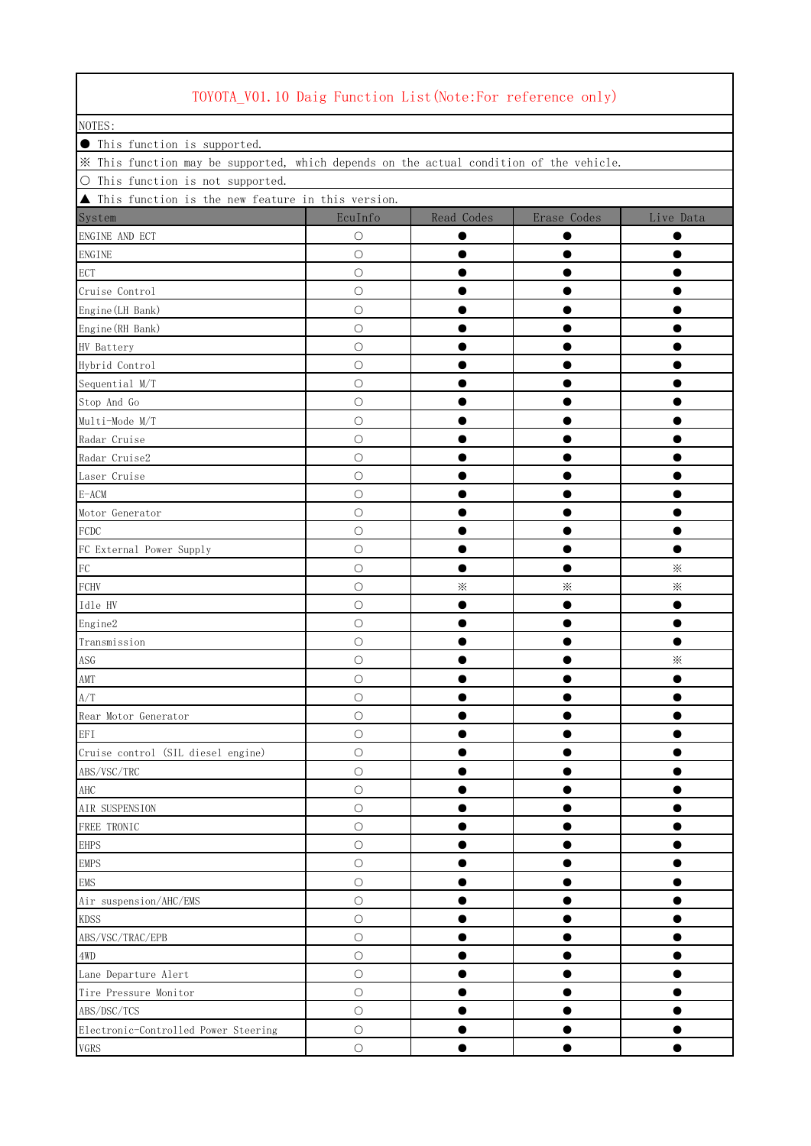| NOTES:                                                                                  |            |            |             |           |
|-----------------------------------------------------------------------------------------|------------|------------|-------------|-----------|
| <b>•</b> This function is supported.                                                    |            |            |             |           |
| * This function may be supported, which depends on the actual condition of the vehicle. |            |            |             |           |
| O This function is not supported.                                                       |            |            |             |           |
| ▲ This function is the new feature in this version.                                     |            |            |             |           |
| System                                                                                  | EcuInfo    | Read Codes | Erase Codes | Live Data |
| ENGINE AND ECT                                                                          | О          |            |             |           |
| ${\rm ENGINE}$                                                                          | О          |            |             |           |
| ECT                                                                                     | $\bigcirc$ |            |             | ●         |
| Cruise Control                                                                          | $\bigcirc$ |            |             |           |
| Engine (LH Bank)                                                                        | $\bigcirc$ |            | ●           | ●         |
| Engine (RH Bank)                                                                        | $\bigcirc$ |            |             |           |
| HV Battery                                                                              | $\bigcirc$ |            |             | ●         |
| Hybrid Control                                                                          | $\bigcirc$ |            |             |           |
| Sequential M/T                                                                          | $\bigcirc$ |            |             |           |
| Stop And Go                                                                             | $\bigcirc$ |            |             |           |
| Multi-Mode M/T                                                                          | $\bigcirc$ |            | ●           | ●         |
| Radar Cruise                                                                            | $\bigcirc$ |            | $\bullet$   |           |
| Radar Cruise2                                                                           | $\bigcirc$ |            |             | $\bullet$ |
| Laser Cruise                                                                            | $\bigcirc$ |            | 0           | 0         |
| $E - ACM$                                                                               | $\bigcirc$ | 0          |             | $\bullet$ |
| Motor Generator                                                                         | $\bigcirc$ |            | $\bullet$   | ●         |
| <b>FCDC</b>                                                                             | $\bigcirc$ |            |             |           |
| FC External Power Supply                                                                | $\bigcirc$ | œ          | $\bullet$   | $\bullet$ |
| ${\rm FC}$                                                                              | $\bigcirc$ |            | $\bullet$   | $\times$  |
| FCHV                                                                                    | $\bigcirc$ | ⋇          | $\times$    | $\times$  |
| Idle HV                                                                                 | $\bigcirc$ |            | $\bullet$   | ●         |
| Engine2                                                                                 | $\bigcirc$ |            | $\bullet$   | $\bullet$ |
| Transmission                                                                            | $\bigcirc$ |            |             | $\bullet$ |
| $\operatorname{ASG}$                                                                    | $\bigcirc$ |            |             | $\times$  |
| $\mathop{\rm AMT}\nolimits$                                                             | $\bigcirc$ |            |             |           |
| A/T                                                                                     | О          |            |             |           |
| Rear Motor Generator                                                                    | $\bigcirc$ |            |             |           |
| $\operatorname{EFI}$                                                                    | $\bigcirc$ |            | ●           | ●         |
| Cruise control (SIL diesel engine)                                                      | $\bigcirc$ |            |             |           |
| ABS/VSC/TRC                                                                             | $\bigcirc$ |            |             | 0         |
| $\rm AHC$                                                                               | $\bigcirc$ |            |             |           |
| AIR SUSPENSION                                                                          | $\bigcirc$ |            |             | ●         |
| FREE TRONIC                                                                             | $\bigcirc$ |            |             | 0         |
| <b>EHPS</b>                                                                             | $\bigcirc$ | $\bullet$  |             | $\bullet$ |
| <b>EMPS</b>                                                                             | $\bigcirc$ |            | $\bullet$   |           |
| <b>EMS</b>                                                                              | $\bigcirc$ |            | $\bullet$   | $\bullet$ |
| Air suspension/AHC/EMS                                                                  | $\bigcirc$ |            | $\bullet$   | ●         |
| <b>KDSS</b>                                                                             | $\bigcirc$ | $\bullet$  | $\bullet$   | $\bullet$ |
| ABS/VSC/TRAC/EPB                                                                        | $\bigcirc$ |            | $\bullet$   | $\bullet$ |
| $4 \mathrm{WD}$                                                                         | $\bigcirc$ |            |             | $\bullet$ |
| Lane Departure Alert                                                                    | $\bigcirc$ |            | $\bullet$   | 0         |
| Tire Pressure Monitor                                                                   | $\bigcirc$ | ●          |             | ●         |
| ABS/DSC/TCS                                                                             | $\bigcirc$ |            | $\bullet$   |           |
| Electronic-Controlled Power Steering                                                    | $\bigcirc$ |            |             |           |
| ${\tt VGRS}$                                                                            | $\bigcirc$ | ●          | $\bullet$   | ●         |
|                                                                                         |            |            |             |           |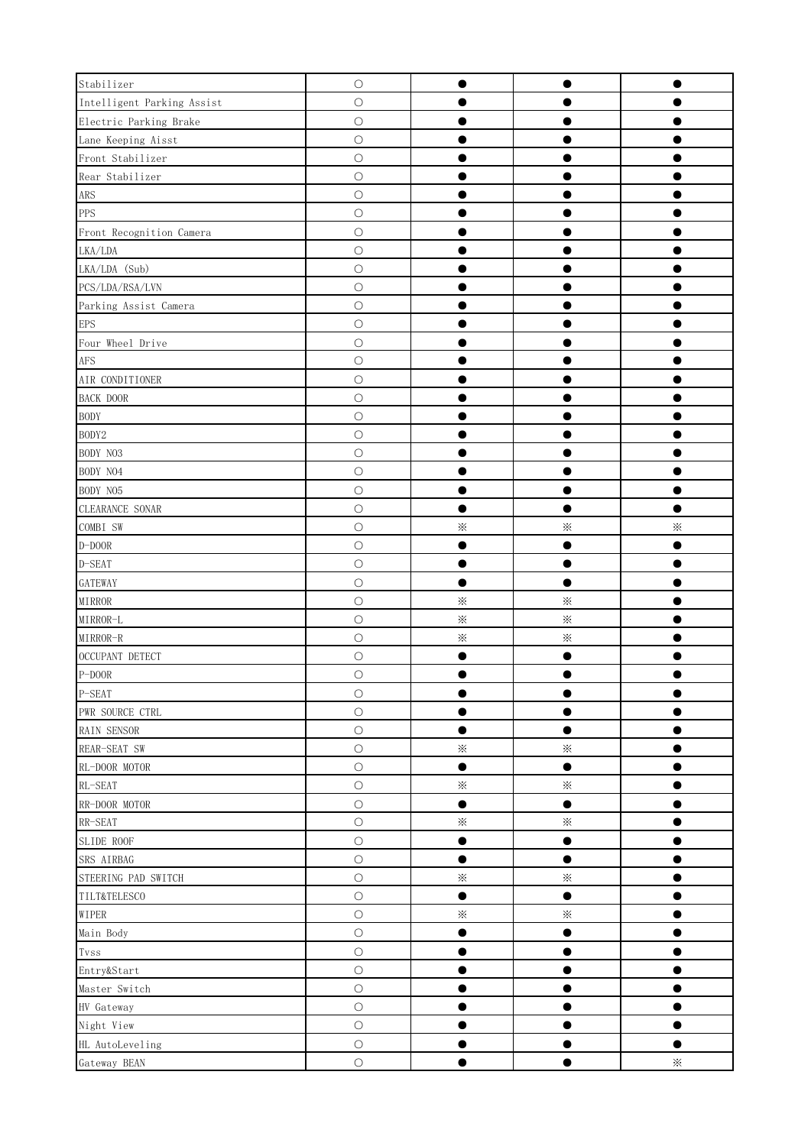| Stabilizer                 | $\bigcirc$ | $\bullet$ | $\bullet$ | $\bullet$ |
|----------------------------|------------|-----------|-----------|-----------|
| Intelligent Parking Assist | $\bigcirc$ |           |           |           |
| Electric Parking Brake     | $\bigcirc$ |           |           |           |
| Lane Keeping Aisst         | $\bigcirc$ |           |           |           |
| Front Stabilizer           | $\bigcirc$ | 0         |           | $\bullet$ |
| Rear Stabilizer            | $\bigcirc$ |           |           |           |
| $\mbox{{\sc ARS}}$         | $\bigcirc$ | 0         |           |           |
| <b>PPS</b>                 | $\bigcirc$ | $\bullet$ |           | $\bullet$ |
| Front Recognition Camera   | $\bigcirc$ | $\bullet$ | $\bullet$ | $\bullet$ |
| ${\rm LKA/LDA}$            | $\bigcirc$ | $\bullet$ | $\bullet$ | $\bullet$ |
| LKA/LDA (Sub)              | $\bigcirc$ | $\bullet$ | $\bullet$ | $\bullet$ |
| PCS/LDA/RSA/LVN            | $\bigcirc$ | $\bullet$ |           | $\bullet$ |
| Parking Assist Camera      | $\bigcirc$ | $\bullet$ | $\bullet$ | $\bullet$ |
| <b>EPS</b>                 | $\bigcirc$ | $\bullet$ | $\bullet$ | $\bullet$ |
| Four Wheel Drive           | $\bigcirc$ |           |           |           |
| <b>AFS</b>                 | $\bigcirc$ | 8         |           | 0         |
| AIR CONDITIONER            | $\bigcirc$ |           | 0         | $\bullet$ |
| <b>BACK DOOR</b>           | $\bigcirc$ |           | 0         | e         |
| <b>BODY</b>                | $\bigcirc$ |           |           |           |
| BODY2                      | $\bigcirc$ | $\bullet$ | $\bullet$ | $\bullet$ |
| BODY NO3                   | $\bigcirc$ | ●         | $\bullet$ | $\bullet$ |
| BODY NO4                   | $\bigcirc$ | $\bullet$ | $\bullet$ | $\bullet$ |
| BODY NO5                   | $\bigcirc$ |           |           |           |
| CLEARANCE SONAR            | $\bigcirc$ | $\bullet$ | $\bullet$ | $\bullet$ |
| COMBI SW                   | $\bigcirc$ | $\times$  | $\times$  | $\times$  |
| $\text{D-DOOR}$            | $\bigcirc$ | $\bullet$ | $\bullet$ | $\bullet$ |
| $D-SEAT$                   | $\bigcirc$ | $\bullet$ | $\bullet$ | 0         |
| GATEWAY                    | $\bigcirc$ | $\bullet$ | $\bullet$ | $\bullet$ |
| $\verb+MIRROR+$            | $\bigcirc$ | $\times$  | $\times$  |           |
| MIRROR-L                   | $\bigcirc$ | $\times$  | $\times$  |           |
| $\texttt{MIRROR-R}$        | $\bigcirc$ | $\times$  | $\times$  | Ð         |
| OCCUPANT DETECT            | $\bigcirc$ | $\bullet$ | $\bullet$ | $\bullet$ |
| $\mbox{P-DOOR}$            | $\bigcirc$ | $\bullet$ | $\bullet$ | $\bullet$ |
| P-SEAT                     | $\bigcirc$ | $\bullet$ | $\bullet$ | $\bullet$ |
| PWR SOURCE CTRL            | $\bigcirc$ |           | $\bullet$ | $\bullet$ |
| RAIN SENSOR                | $\bigcirc$ | $\bullet$ | $\bullet$ | $\bullet$ |
| REAR-SEAT SW               | $\bigcirc$ | $\times$  | $\times$  | $\bullet$ |
| RL-DOOR MOTOR              | $\bigcirc$ | $\bullet$ | $\bullet$ | $\bullet$ |
| RL-SEAT                    | $\bigcirc$ | $\times$  | $\times$  | $\bullet$ |
| RR-DOOR MOTOR              | $\bigcirc$ | $\bullet$ | $\bullet$ | $\bullet$ |
| RR-SEAT                    | $\bigcirc$ | $\times$  | $\times$  | $\bullet$ |
| SLIDE ROOF                 | $\bigcirc$ | $\bullet$ | $\bullet$ | ●         |
| SRS AIRBAG                 | $\bigcirc$ | $\bullet$ | $\bullet$ | $\bullet$ |
| STEERING PAD SWITCH        | $\bigcirc$ | $\times$  | $\times$  | $\bullet$ |
| TILT&TELESCO               | $\bigcirc$ | $\bullet$ | $\bullet$ | $\bullet$ |
| WIPER                      | $\bigcirc$ | $\times$  | $\times$  | $\bullet$ |
| Main Body                  | $\bigcirc$ | $\bullet$ | $\bullet$ | $\bullet$ |
| ${\rm Tvss}$               | $\bigcirc$ | $\bullet$ | $\bullet$ | $\bullet$ |
| Entry&Start                | $\bigcirc$ | $\bullet$ | $\bullet$ | $\bullet$ |
| Master Switch              | $\bigcirc$ |           |           |           |
| HV Gateway                 | $\bigcirc$ | $\bullet$ | $\bullet$ | $\bullet$ |
| Night View                 | $\bigcirc$ | $\bullet$ | $\bullet$ | $\bullet$ |
| HL AutoLeveling            | $\bigcirc$ | $\bullet$ | $\bullet$ | $\bullet$ |
| Gateway BEAN               | $\bigcirc$ | $\bullet$ | $\bullet$ | $\times$  |
|                            |            |           |           |           |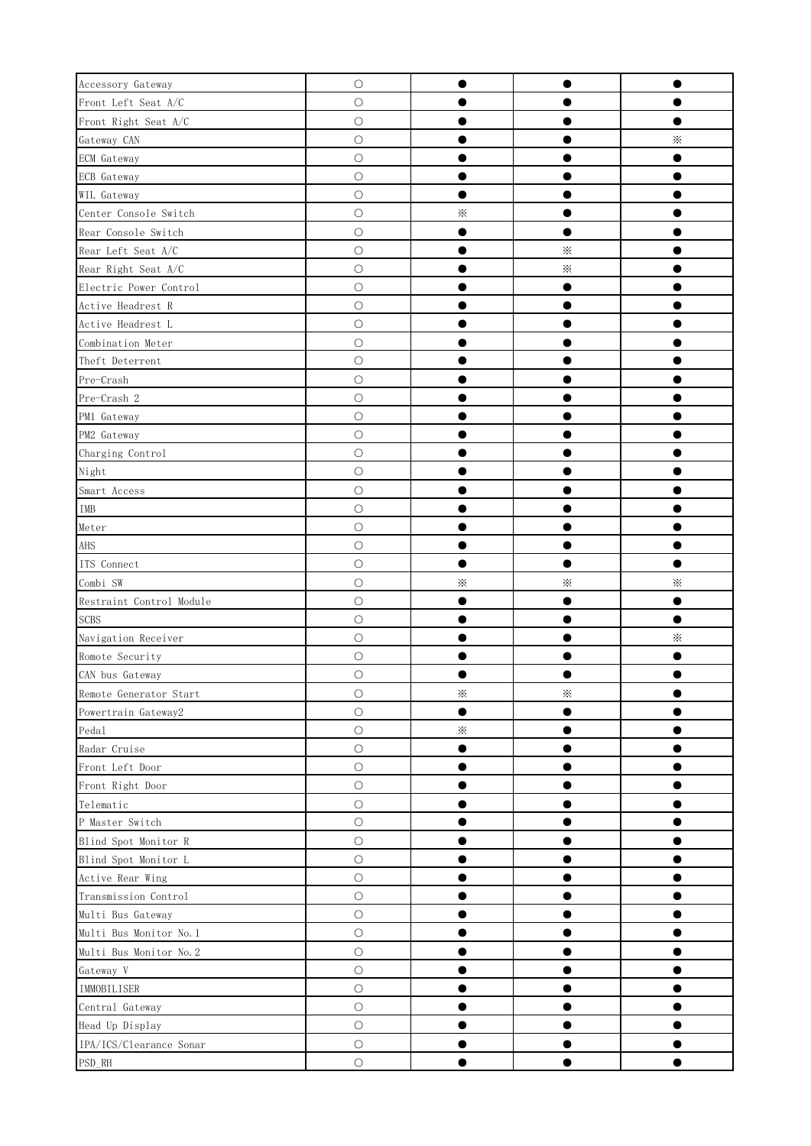| Accessory Gateway           | $\bigcirc$ | $\bullet$ |           | $\bullet$ |
|-----------------------------|------------|-----------|-----------|-----------|
| Front Left Seat A/C         | $\bigcirc$ |           |           |           |
| Front Right Seat A/C        | $\bigcirc$ |           |           | $\bullet$ |
| Gateway CAN                 | $\bigcirc$ |           |           | $\times$  |
| ECM Gateway                 | $\bigcirc$ | ●         |           | $\bullet$ |
| ECB Gateway                 | $\bigcirc$ |           |           |           |
| WIL Gateway                 | $\bigcirc$ | $\bullet$ |           | ●         |
| Center Console Switch       | $\bigcirc$ | $\times$  |           |           |
| Rear Console Switch         | $\bigcirc$ | $\bullet$ | 0         |           |
| Rear Left Seat A/C          | $\bigcirc$ | $\bullet$ | $\times$  |           |
| Rear Right Seat A/C         | $\bigcirc$ | $\bullet$ | $\times$  |           |
| Electric Power Control      | $\bigcirc$ |           | $\bullet$ |           |
| Active Headrest R           | $\bigcirc$ | $\bullet$ | $\bullet$ | $\bullet$ |
| Active Headrest L           | $\bigcirc$ | $\bullet$ | $\bullet$ | $\bullet$ |
| Combination Meter           | $\bigcirc$ | $\bullet$ |           | $\bullet$ |
| Theft Deterrent             | $\bigcirc$ |           | 0         | 0         |
| Pre-Crash                   | $\bigcirc$ | $\bullet$ | $\bullet$ | $\bullet$ |
| Pre-Crash 2                 | $\bigcirc$ | $\bullet$ | 0         | $\bullet$ |
| PM1 Gateway                 | $\bigcirc$ |           |           |           |
| PM2 Gateway                 | $\bigcirc$ |           | 0         | $\bullet$ |
| Charging Control            | $\bigcirc$ | $\bullet$ | 0         | 0         |
| Night                       | $\circ$    | ●         | O         | ●         |
| Smart Access                | $\bigcirc$ |           |           |           |
| $\ensuremath{\mathsf{IMB}}$ | $\bigcirc$ | 0         |           | 0         |
| Meter                       | $\bigcirc$ |           |           |           |
| AHS                         | $\bigcirc$ | $\bullet$ |           | $\bullet$ |
| ITS Connect                 | $\bigcirc$ | $\bullet$ | $\bullet$ | $\bullet$ |
| Combi SW                    | $\bigcirc$ | $\times$  | $\times$  | $\times$  |
| Restraint Control Module    | $\bigcirc$ | $\bullet$ | 0         | $\bullet$ |
|                             |            | ●         |           | $\bullet$ |
| <b>SCBS</b>                 | $\bigcirc$ |           |           |           |
| Navigation Receiver         | $\bigcirc$ |           |           | $\times$  |
| Romote Security             | $\circ$    |           |           | $\bullet$ |
| CAN bus Gateway             | $\bigcirc$ |           |           |           |
| Remote Generator Start      | $\bigcirc$ | $\times$  | $\times$  |           |
| Powertrain Gateway2         | $\circ$    |           |           |           |
| Pedal                       | $\bigcirc$ | $\times$  | 0         |           |
| Radar Cruise                | $\bigcirc$ | $\bullet$ |           |           |
| Front Left Door             | $\bigcirc$ | $\bullet$ |           | $\bullet$ |
| Front Right Door            | $\bigcirc$ | $\bullet$ | 0         | 0         |
| Telematic                   | $\bigcirc$ | $\bullet$ | $\bullet$ | $\bullet$ |
| P Master Switch             | $\bigcirc$ | $\bullet$ | 0         | $\bullet$ |
| Blind Spot Monitor R        | $\bigcirc$ | $\bullet$ |           | 0         |
| Blind Spot Monitor L        | $\bigcirc$ |           |           |           |
| Active Rear Wing            | $\bigcirc$ |           |           |           |
| Transmission Control        | $\circ$    |           |           |           |
| Multi Bus Gateway           | $\circ$    |           |           |           |
| Multi Bus Monitor No. 1     | $\bigcirc$ | ●         |           | 8         |
| Multi Bus Monitor No. 2     | $\circ$    | e         |           |           |
| Gateway V                   | $\circ$    |           |           |           |
| IMMOBILISER                 | $\bigcirc$ |           |           |           |
| Central Gateway             | $\bigcirc$ |           |           |           |
| Head Up Display             | $\bigcirc$ |           |           |           |
| IPA/ICS/Clearance Sonar     | $\bigcirc$ | $\bullet$ | 0         | $\bullet$ |
| $\mathsf{PSD}\_\mathsf{RH}$ | $\bigcirc$ | $\bullet$ |           | $\bullet$ |
|                             |            |           |           |           |